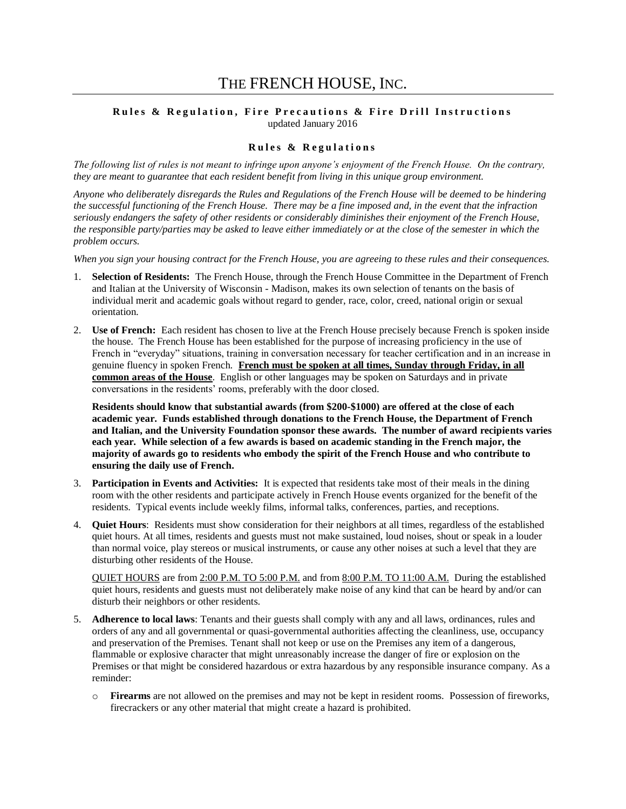# THE FRENCH HOUSE, INC.

#### **Rules & Regulation, Fire Precautions & Fire Drill Instructions** updated January 2016

#### **R u l e s & R e g u l a t i o n s**

*The following list of rules is not meant to infringe upon anyone's enjoyment of the French House. On the contrary, they are meant to guarantee that each resident benefit from living in this unique group environment.*

*Anyone who deliberately disregards the Rules and Regulations of the French House will be deemed to be hindering the successful functioning of the French House. There may be a fine imposed and, in the event that the infraction seriously endangers the safety of other residents or considerably diminishes their enjoyment of the French House, the responsible party/parties may be asked to leave either immediately or at the close of the semester in which the problem occurs.*

*When you sign your housing contract for the French House, you are agreeing to these rules and their consequences.*

- 1. **Selection of Residents:** The French House, through the French House Committee in the Department of French and Italian at the University of Wisconsin - Madison, makes its own selection of tenants on the basis of individual merit and academic goals without regard to gender, race, color, creed, national origin or sexual orientation.
- 2. **Use of French:** Each resident has chosen to live at the French House precisely because French is spoken inside the house. The French House has been established for the purpose of increasing proficiency in the use of French in "everyday" situations, training in conversation necessary for teacher certification and in an increase in genuine fluency in spoken French. **French must be spoken at all times, Sunday through Friday, in all common areas of the House**. English or other languages may be spoken on Saturdays and in private conversations in the residents' rooms, preferably with the door closed.

**Residents should know that substantial awards (from \$200-\$1000) are offered at the close of each academic year. Funds established through donations to the French House, the Department of French and Italian, and the University Foundation sponsor these awards. The number of award recipients varies each year. While selection of a few awards is based on academic standing in the French major, the majority of awards go to residents who embody the spirit of the French House and who contribute to ensuring the daily use of French.**

- 3. **Participation in Events and Activities:** It is expected that residents take most of their meals in the dining room with the other residents and participate actively in French House events organized for the benefit of the residents. Typical events include weekly films, informal talks, conferences, parties, and receptions.
- 4. **Quiet Hours**: Residents must show consideration for their neighbors at all times, regardless of the established quiet hours. At all times, residents and guests must not make sustained, loud noises, shout or speak in a louder than normal voice, play stereos or musical instruments, or cause any other noises at such a level that they are disturbing other residents of the House.

QUIET HOURS are from 2:00 P.M. TO 5:00 P.M. and from 8:00 P.M. TO 11:00 A.M. During the established quiet hours, residents and guests must not deliberately make noise of any kind that can be heard by and/or can disturb their neighbors or other residents.

- 5. **Adherence to local laws**: Tenants and their guests shall comply with any and all laws, ordinances, rules and orders of any and all governmental or quasi-governmental authorities affecting the cleanliness, use, occupancy and preservation of the Premises. Tenant shall not keep or use on the Premises any item of a dangerous, flammable or explosive character that might unreasonably increase the danger of fire or explosion on the Premises or that might be considered hazardous or extra hazardous by any responsible insurance company. As a reminder:
	- o **Firearms** are not allowed on the premises and may not be kept in resident rooms. Possession of fireworks, firecrackers or any other material that might create a hazard is prohibited.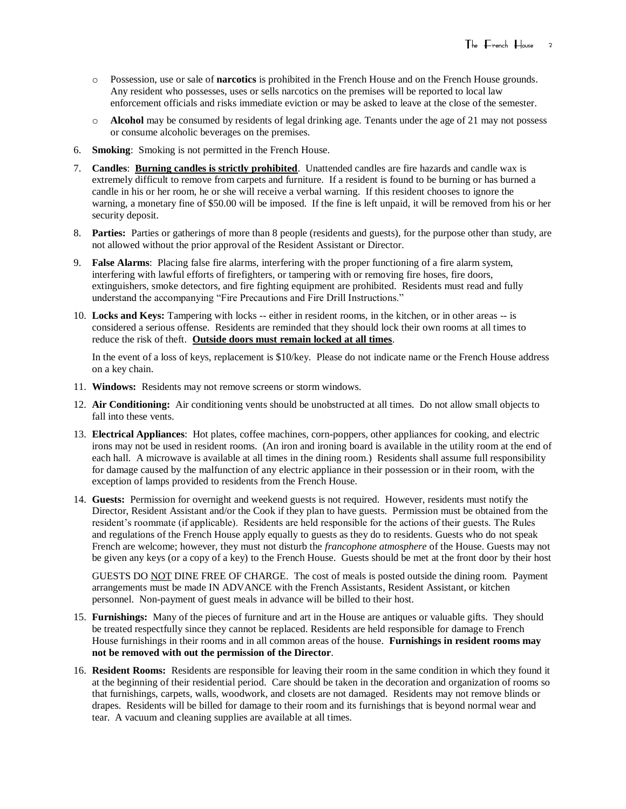- o Possession, use or sale of **narcotics** is prohibited in the French House and on the French House grounds. Any resident who possesses, uses or sells narcotics on the premises will be reported to local law enforcement officials and risks immediate eviction or may be asked to leave at the close of the semester.
- o **Alcohol** may be consumed by residents of legal drinking age. Tenants under the age of 21 may not possess or consume alcoholic beverages on the premises.
- 6. **Smoking**: Smoking is not permitted in the French House.
- 7. **Candles**: **Burning candles is strictly prohibited**. Unattended candles are fire hazards and candle wax is extremely difficult to remove from carpets and furniture. If a resident is found to be burning or has burned a candle in his or her room, he or she will receive a verbal warning. If this resident chooses to ignore the warning, a monetary fine of \$50.00 will be imposed. If the fine is left unpaid, it will be removed from his or her security deposit.
- 8. **Parties:** Parties or gatherings of more than 8 people (residents and guests), for the purpose other than study, are not allowed without the prior approval of the Resident Assistant or Director.
- 9. **False Alarms**: Placing false fire alarms, interfering with the proper functioning of a fire alarm system, interfering with lawful efforts of firefighters, or tampering with or removing fire hoses, fire doors, extinguishers, smoke detectors, and fire fighting equipment are prohibited. Residents must read and fully understand the accompanying "Fire Precautions and Fire Drill Instructions."
- 10. **Locks and Keys:** Tampering with locks -- either in resident rooms, in the kitchen, or in other areas -- is considered a serious offense. Residents are reminded that they should lock their own rooms at all times to reduce the risk of theft. **Outside doors must remain locked at all times**.

In the event of a loss of keys, replacement is \$10/key. Please do not indicate name or the French House address on a key chain.

- 11. **Windows:** Residents may not remove screens or storm windows.
- 12. **Air Conditioning:** Air conditioning vents should be unobstructed at all times. Do not allow small objects to fall into these vents.
- 13. **Electrical Appliances**: Hot plates, coffee machines, corn-poppers, other appliances for cooking, and electric irons may not be used in resident rooms. (An iron and ironing board is available in the utility room at the end of each hall. A microwave is available at all times in the dining room.) Residents shall assume full responsibility for damage caused by the malfunction of any electric appliance in their possession or in their room, with the exception of lamps provided to residents from the French House.
- 14. **Guests:** Permission for overnight and weekend guests is not required. However, residents must notify the Director, Resident Assistant and/or the Cook if they plan to have guests. Permission must be obtained from the resident's roommate (if applicable). Residents are held responsible for the actions of their guests. The Rules and regulations of the French House apply equally to guests as they do to residents. Guests who do not speak French are welcome; however, they must not disturb the *francophone atmosphere* of the House. Guests may not be given any keys (or a copy of a key) to the French House. Guests should be met at the front door by their host

GUESTS DO NOT DINE FREE OF CHARGE. The cost of meals is posted outside the dining room. Payment arrangements must be made IN ADVANCE with the French Assistants, Resident Assistant, or kitchen personnel. Non-payment of guest meals in advance will be billed to their host.

- 15. **Furnishings:** Many of the pieces of furniture and art in the House are antiques or valuable gifts. They should be treated respectfully since they cannot be replaced. Residents are held responsible for damage to French House furnishings in their rooms and in all common areas of the house. **Furnishings in resident rooms may not be removed with out the permission of the Director**.
- 16. **Resident Rooms:** Residents are responsible for leaving their room in the same condition in which they found it at the beginning of their residential period. Care should be taken in the decoration and organization of rooms so that furnishings, carpets, walls, woodwork, and closets are not damaged. Residents may not remove blinds or drapes. Residents will be billed for damage to their room and its furnishings that is beyond normal wear and tear. A vacuum and cleaning supplies are available at all times.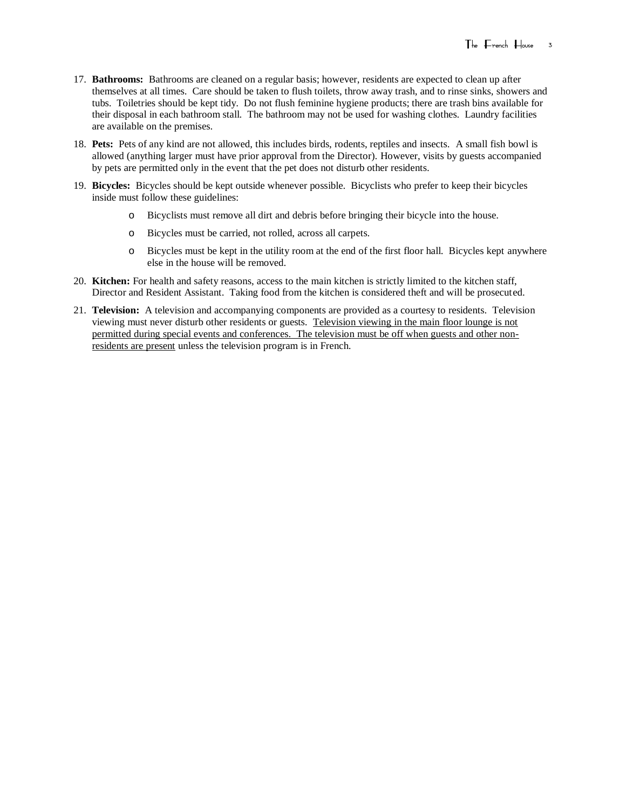- 17. **Bathrooms:** Bathrooms are cleaned on a regular basis; however, residents are expected to clean up after themselves at all times. Care should be taken to flush toilets, throw away trash, and to rinse sinks, showers and tubs. Toiletries should be kept tidy. Do not flush feminine hygiene products; there are trash bins available for their disposal in each bathroom stall. The bathroom may not be used for washing clothes. Laundry facilities are available on the premises.
- 18. **Pets:** Pets of any kind are not allowed, this includes birds, rodents, reptiles and insects. A small fish bowl is allowed (anything larger must have prior approval from the Director). However, visits by guests accompanied by pets are permitted only in the event that the pet does not disturb other residents.
- 19. **Bicycles:** Bicycles should be kept outside whenever possible. Bicyclists who prefer to keep their bicycles inside must follow these guidelines:
	- o Bicyclists must remove all dirt and debris before bringing their bicycle into the house.
	- o Bicycles must be carried, not rolled, across all carpets.
	- o Bicycles must be kept in the utility room at the end of the first floor hall. Bicycles kept anywhere else in the house will be removed.
- 20. **Kitchen:** For health and safety reasons, access to the main kitchen is strictly limited to the kitchen staff, Director and Resident Assistant. Taking food from the kitchen is considered theft and will be prosecuted.
- 21. **Television:** A television and accompanying components are provided as a courtesy to residents. Television viewing must never disturb other residents or guests. Television viewing in the main floor lounge is not permitted during special events and conferences. The television must be off when guests and other nonresidents are present unless the television program is in French.